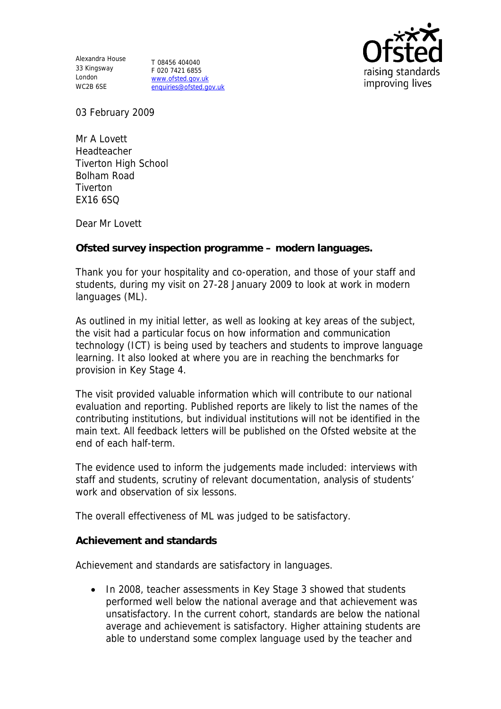Alexandra House 33 Kingsway T 08456 404040 London WC2B 6SE

F 020 7421 6855 www.ofsted.gov.uk enquiries@ofsted.gov.uk



03 February 2009

Mr A Lovett Headteacher Tiverton High School Bolham Road **Tiverton** EX16 6SQ

Dear Mr Lovett

**Ofsted survey inspection programme – modern languages.**

Thank you for your hospitality and co-operation, and those of your staff and students, during my visit on 27-28 January 2009 to look at work in modern languages (ML).

As outlined in my initial letter, as well as looking at key areas of the subject, the visit had a particular focus on how information and communication technology (ICT) is being used by teachers and students to improve language learning. It also looked at where you are in reaching the benchmarks for provision in Key Stage 4.

The visit provided valuable information which will contribute to our national evaluation and reporting. Published reports are likely to list the names of the contributing institutions, but individual institutions will not be identified in the main text. All feedback letters will be published on the Ofsted website at the end of each half-term.

The evidence used to inform the judgements made included: interviews with staff and students, scrutiny of relevant documentation, analysis of students' work and observation of six lessons.

The overall effectiveness of ML was judged to be satisfactory.

**Achievement and standards**

Achievement and standards are satisfactory in languages.

• In 2008, teacher assessments in Key Stage 3 showed that students performed well below the national average and that achievement was unsatisfactory. In the current cohort, standards are below the national average and achievement is satisfactory. Higher attaining students are able to understand some complex language used by the teacher and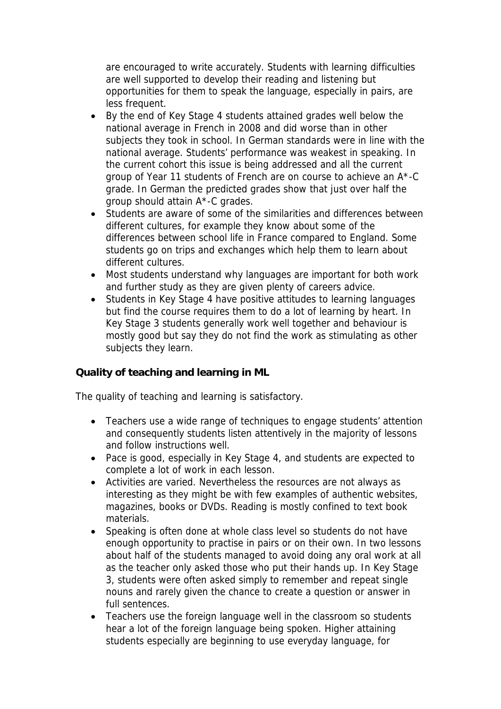are encouraged to write accurately. Students with learning difficulties are well supported to develop their reading and listening but opportunities for them to speak the language, especially in pairs, are less frequent.

- By the end of Key Stage 4 students attained grades well below the national average in French in 2008 and did worse than in other subjects they took in school. In German standards were in line with the national average. Students' performance was weakest in speaking. In the current cohort this issue is being addressed and all the current group of Year 11 students of French are on course to achieve an A\*-C grade. In German the predicted grades show that just over half the group should attain A\*-C grades.
- Students are aware of some of the similarities and differences between different cultures, for example they know about some of the differences between school life in France compared to England. Some students go on trips and exchanges which help them to learn about different cultures.
- Most students understand why languages are important for both work and further study as they are given plenty of careers advice.
- Students in Key Stage 4 have positive attitudes to learning languages but find the course requires them to do a lot of learning by heart. In Key Stage 3 students generally work well together and behaviour is mostly good but say they do not find the work as stimulating as other subjects they learn.

**Quality of teaching and learning in ML**

The quality of teaching and learning is satisfactory.

- Teachers use a wide range of techniques to engage students' attention and consequently students listen attentively in the majority of lessons and follow instructions well.
- Pace is good, especially in Key Stage 4, and students are expected to complete a lot of work in each lesson.
- Activities are varied. Nevertheless the resources are not always as interesting as they might be with few examples of authentic websites, magazines, books or DVDs. Reading is mostly confined to text book materials.
- Speaking is often done at whole class level so students do not have enough opportunity to practise in pairs or on their own. In two lessons about half of the students managed to avoid doing any oral work at all as the teacher only asked those who put their hands up. In Key Stage 3, students were often asked simply to remember and repeat single nouns and rarely given the chance to create a question or answer in full sentences.
- Teachers use the foreign language well in the classroom so students hear a lot of the foreign language being spoken. Higher attaining students especially are beginning to use everyday language, for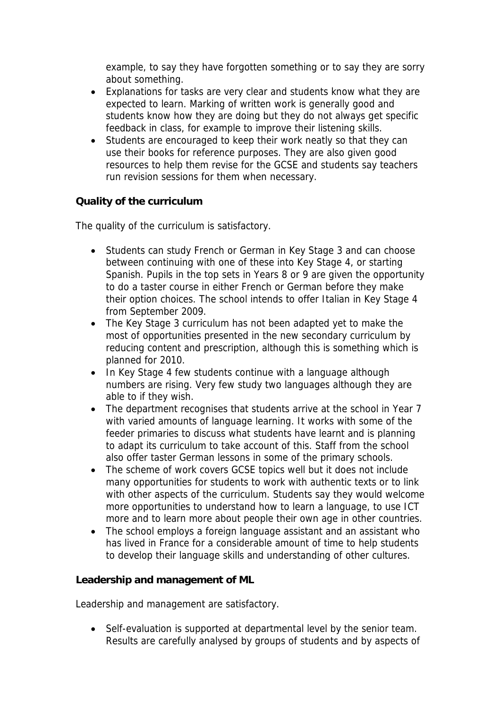example, to say they have forgotten something or to say they are sorry about something.

- Explanations for tasks are very clear and students know what they are expected to learn. Marking of written work is generally good and students know how they are doing but they do not always get specific feedback in class, for example to improve their listening skills.
- Students are encouraged to keep their work neatly so that they can use their books for reference purposes. They are also given good resources to help them revise for the GCSE and students say teachers run revision sessions for them when necessary.

**Quality of the curriculum** 

The quality of the curriculum is satisfactory.

- Students can study French or German in Key Stage 3 and can choose between continuing with one of these into Key Stage 4, or starting Spanish. Pupils in the top sets in Years 8 or 9 are given the opportunity to do a taster course in either French or German before they make their option choices. The school intends to offer Italian in Key Stage 4 from September 2009.
- The Key Stage 3 curriculum has not been adapted yet to make the most of opportunities presented in the new secondary curriculum by reducing content and prescription, although this is something which is planned for 2010.
- In Key Stage 4 few students continue with a language although numbers are rising. Very few study two languages although they are able to if they wish.
- The department recognises that students arrive at the school in Year 7 with varied amounts of language learning. It works with some of the feeder primaries to discuss what students have learnt and is planning to adapt its curriculum to take account of this. Staff from the school also offer taster German lessons in some of the primary schools.
- The scheme of work covers GCSE topics well but it does not include many opportunities for students to work with authentic texts or to link with other aspects of the curriculum. Students say they would welcome more opportunities to understand how to learn a language, to use ICT more and to learn more about people their own age in other countries.
- The school employs a foreign language assistant and an assistant who has lived in France for a considerable amount of time to help students to develop their language skills and understanding of other cultures.

**Leadership and management of ML**

Leadership and management are satisfactory.

 Self-evaluation is supported at departmental level by the senior team. Results are carefully analysed by groups of students and by aspects of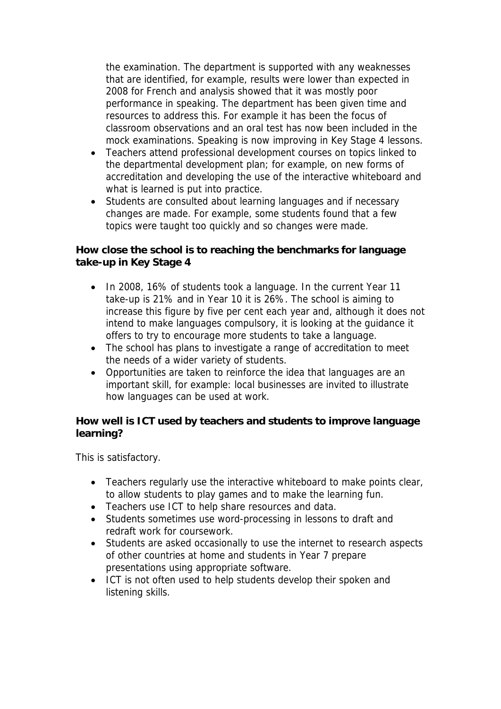the examination. The department is supported with any weaknesses that are identified, for example, results were lower than expected in 2008 for French and analysis showed that it was mostly poor performance in speaking. The department has been given time and resources to address this. For example it has been the focus of classroom observations and an oral test has now been included in the mock examinations. Speaking is now improving in Key Stage 4 lessons.

- Teachers attend professional development courses on topics linked to the departmental development plan; for example, on new forms of accreditation and developing the use of the interactive whiteboard and what is learned is put into practice.
- Students are consulted about learning languages and if necessary changes are made. For example, some students found that a few topics were taught too quickly and so changes were made.

**How close the school is to reaching the benchmarks for language take-up in Key Stage 4**

- In 2008, 16% of students took a language. In the current Year 11 take-up is 21% and in Year 10 it is 26%. The school is aiming to increase this figure by five per cent each year and, although it does not intend to make languages compulsory, it is looking at the guidance it offers to try to encourage more students to take a language.
- The school has plans to investigate a range of accreditation to meet the needs of a wider variety of students.
- Opportunities are taken to reinforce the idea that languages are an important skill, for example: local businesses are invited to illustrate how languages can be used at work.

**How well is ICT used by teachers and students to improve language learning?** 

This is satisfactory.

- Teachers regularly use the interactive whiteboard to make points clear, to allow students to play games and to make the learning fun.
- Teachers use ICT to help share resources and data.
- Students sometimes use word-processing in lessons to draft and redraft work for coursework.
- Students are asked occasionally to use the internet to research aspects of other countries at home and students in Year 7 prepare presentations using appropriate software.
- ICT is not often used to help students develop their spoken and listening skills.